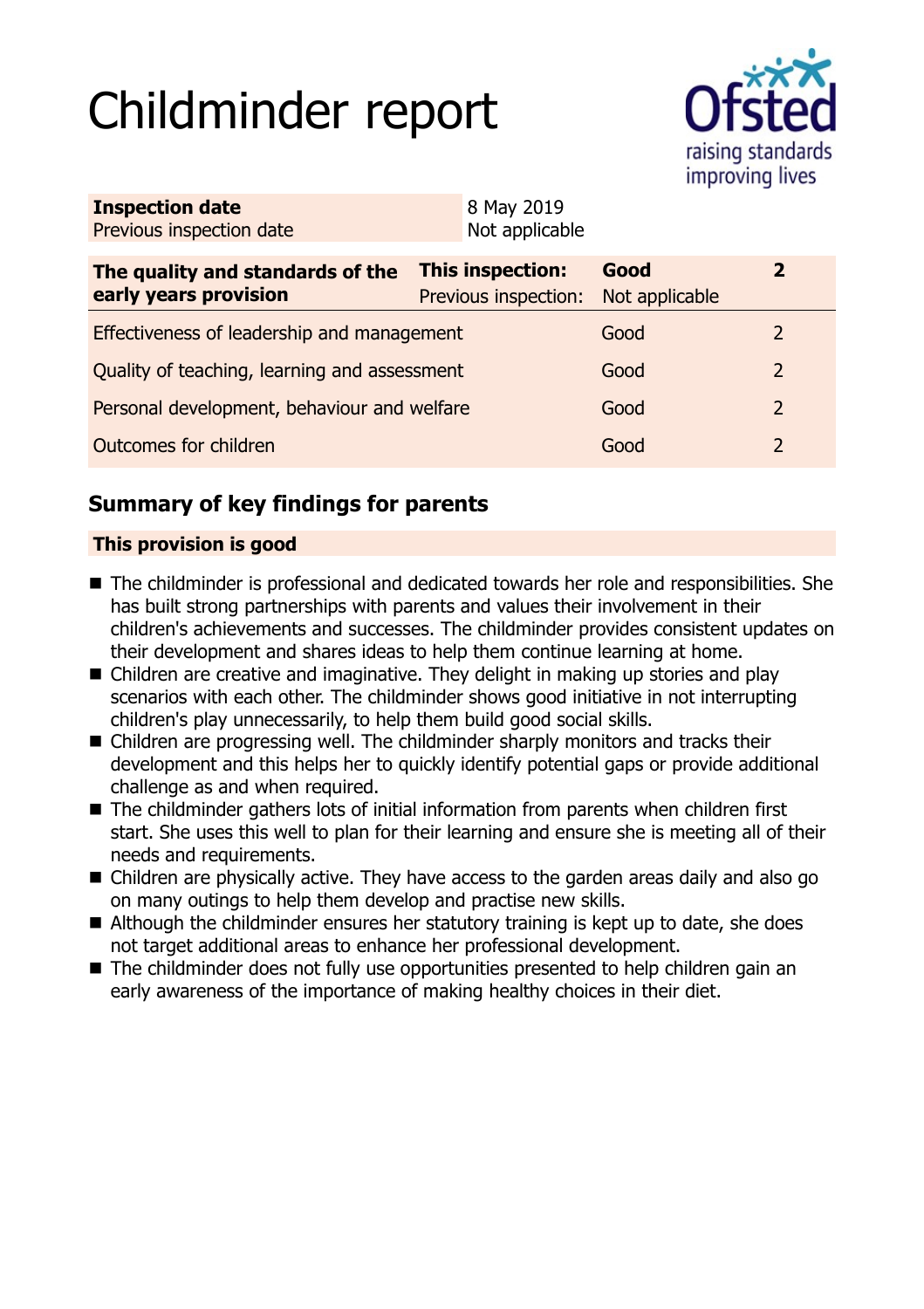# Childminder report



| <b>Inspection date</b><br>Previous inspection date        | 8 May 2019<br>Not applicable                    |                        |                |  |
|-----------------------------------------------------------|-------------------------------------------------|------------------------|----------------|--|
| The quality and standards of the<br>early years provision | <b>This inspection:</b><br>Previous inspection: | Good<br>Not applicable | $\mathbf{2}$   |  |
| Effectiveness of leadership and management                |                                                 | Good                   | $\overline{2}$ |  |
| Quality of teaching, learning and assessment              |                                                 | Good                   | $\overline{2}$ |  |
| Personal development, behaviour and welfare               |                                                 | Good                   | 2              |  |
| Outcomes for children                                     |                                                 | Good                   | 2              |  |

# **Summary of key findings for parents**

## **This provision is good**

- The childminder is professional and dedicated towards her role and responsibilities. She has built strong partnerships with parents and values their involvement in their children's achievements and successes. The childminder provides consistent updates on their development and shares ideas to help them continue learning at home.
- $\blacksquare$  Children are creative and imaginative. They delight in making up stories and play scenarios with each other. The childminder shows good initiative in not interrupting children's play unnecessarily, to help them build good social skills.
- $\blacksquare$  Children are progressing well. The childminder sharply monitors and tracks their development and this helps her to quickly identify potential gaps or provide additional challenge as and when required.
- $\blacksquare$  The childminder gathers lots of initial information from parents when children first start. She uses this well to plan for their learning and ensure she is meeting all of their needs and requirements.
- Children are physically active. They have access to the garden areas daily and also go on many outings to help them develop and practise new skills.
- $\blacksquare$  Although the childminder ensures her statutory training is kept up to date, she does not target additional areas to enhance her professional development.
- $\blacksquare$  The childminder does not fully use opportunities presented to help children gain an early awareness of the importance of making healthy choices in their diet.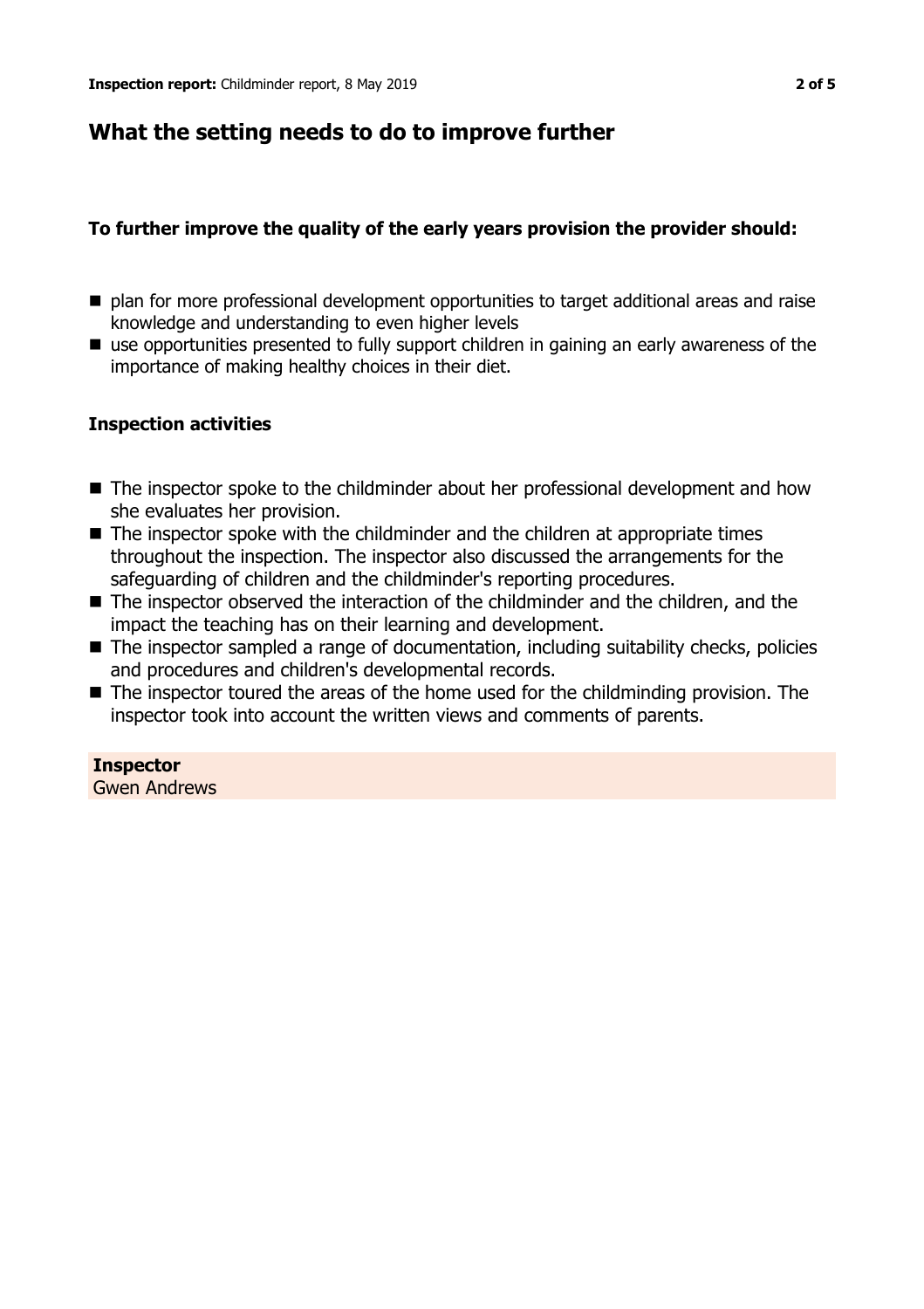# **What the setting needs to do to improve further**

## **To further improve the quality of the early years provision the provider should:**

- plan for more professional development opportunities to target additional areas and raise knowledge and understanding to even higher levels
- $\blacksquare$  use opportunities presented to fully support children in gaining an early awareness of the importance of making healthy choices in their diet.

### **Inspection activities**

- The inspector spoke to the childminder about her professional development and how she evaluates her provision.
- $\blacksquare$  The inspector spoke with the childminder and the children at appropriate times throughout the inspection. The inspector also discussed the arrangements for the safeguarding of children and the childminder's reporting procedures.
- The inspector observed the interaction of the childminder and the children, and the impact the teaching has on their learning and development.
- $\blacksquare$  The inspector sampled a range of documentation, including suitability checks, policies and procedures and children's developmental records.
- $\blacksquare$  The inspector toured the areas of the home used for the childminding provision. The inspector took into account the written views and comments of parents.

### **Inspector**

Gwen Andrews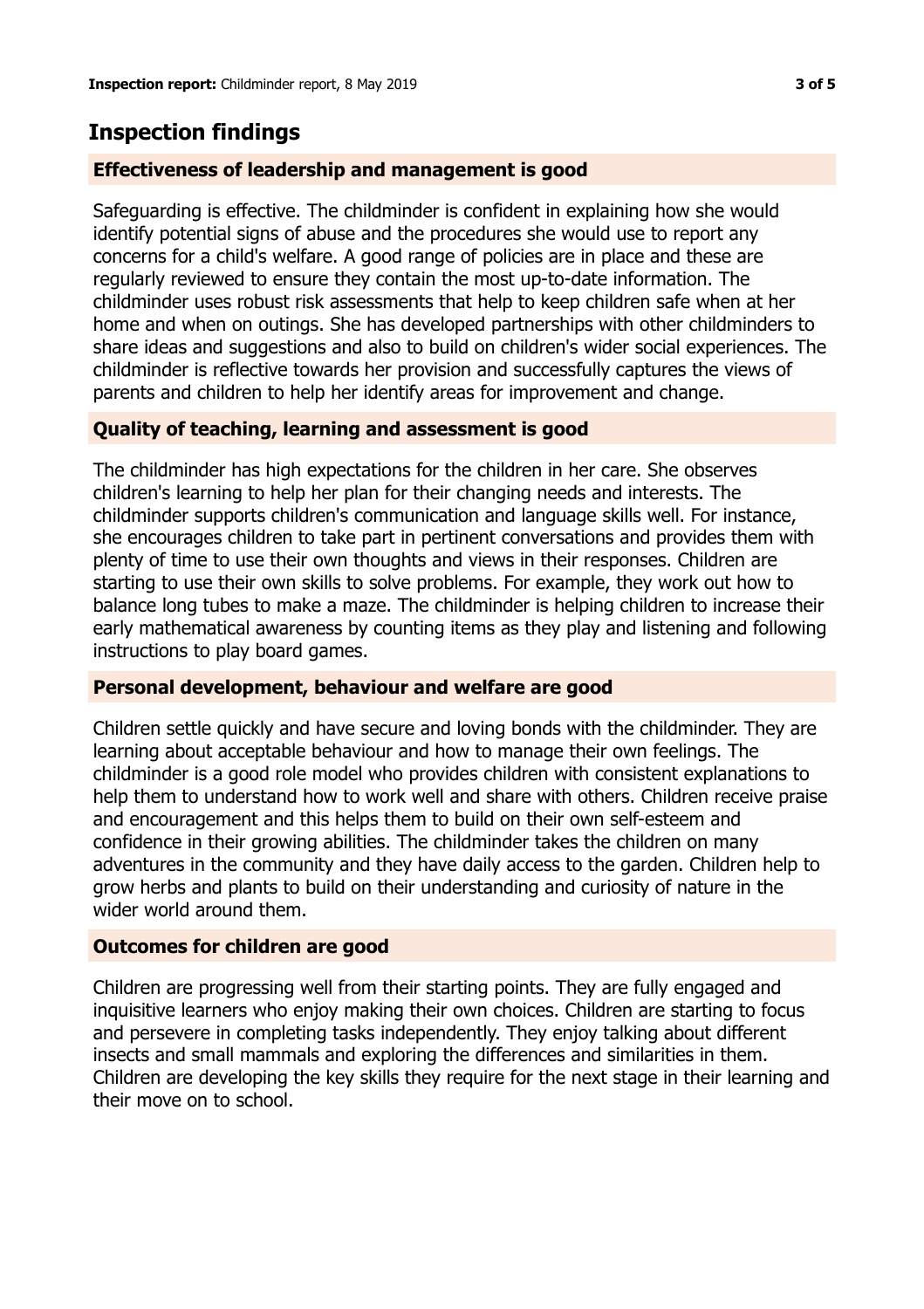# **Inspection findings**

## **Effectiveness of leadership and management is good**

Safeguarding is effective. The childminder is confident in explaining how she would identify potential signs of abuse and the procedures she would use to report any concerns for a child's welfare. A good range of policies are in place and these are regularly reviewed to ensure they contain the most up-to-date information. The childminder uses robust risk assessments that help to keep children safe when at her home and when on outings. She has developed partnerships with other childminders to share ideas and suggestions and also to build on children's wider social experiences. The childminder is reflective towards her provision and successfully captures the views of parents and children to help her identify areas for improvement and change.

## **Quality of teaching, learning and assessment is good**

The childminder has high expectations for the children in her care. She observes children's learning to help her plan for their changing needs and interests. The childminder supports children's communication and language skills well. For instance, she encourages children to take part in pertinent conversations and provides them with plenty of time to use their own thoughts and views in their responses. Children are starting to use their own skills to solve problems. For example, they work out how to balance long tubes to make a maze. The childminder is helping children to increase their early mathematical awareness by counting items as they play and listening and following instructions to play board games.

### **Personal development, behaviour and welfare are good**

Children settle quickly and have secure and loving bonds with the childminder. They are learning about acceptable behaviour and how to manage their own feelings. The childminder is a good role model who provides children with consistent explanations to help them to understand how to work well and share with others. Children receive praise and encouragement and this helps them to build on their own self-esteem and confidence in their growing abilities. The childminder takes the children on many adventures in the community and they have daily access to the garden. Children help to grow herbs and plants to build on their understanding and curiosity of nature in the wider world around them.

### **Outcomes for children are good**

Children are progressing well from their starting points. They are fully engaged and inquisitive learners who enjoy making their own choices. Children are starting to focus and persevere in completing tasks independently. They enjoy talking about different insects and small mammals and exploring the differences and similarities in them. Children are developing the key skills they require for the next stage in their learning and their move on to school.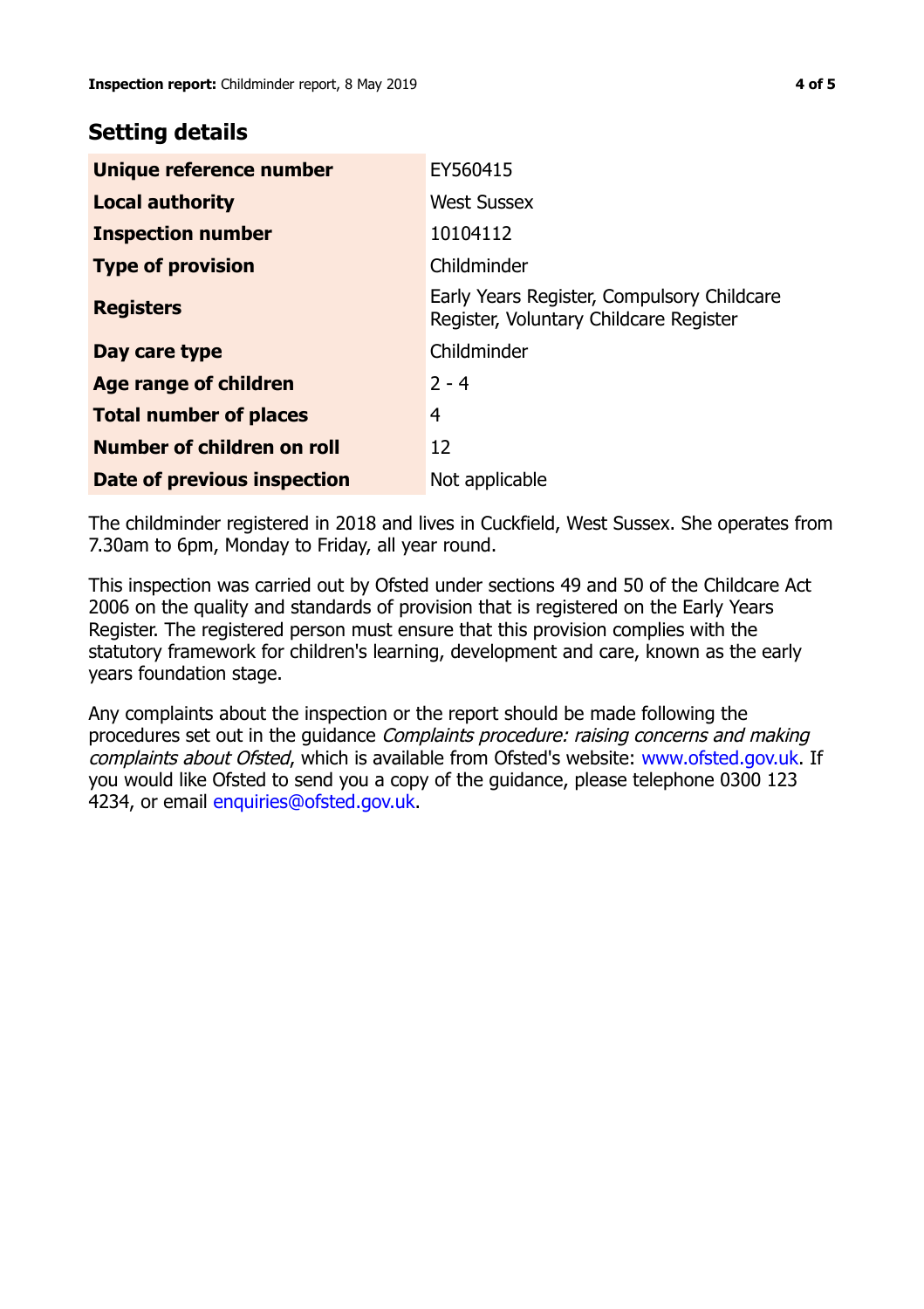## **Setting details**

| Unique reference number       | EY560415                                                                             |
|-------------------------------|--------------------------------------------------------------------------------------|
| <b>Local authority</b>        | <b>West Sussex</b>                                                                   |
| <b>Inspection number</b>      | 10104112                                                                             |
| <b>Type of provision</b>      | Childminder                                                                          |
| <b>Registers</b>              | Early Years Register, Compulsory Childcare<br>Register, Voluntary Childcare Register |
| Day care type                 | Childminder                                                                          |
| Age range of children         | $2 - 4$                                                                              |
| <b>Total number of places</b> | 4                                                                                    |
| Number of children on roll    | 12                                                                                   |
| Date of previous inspection   | Not applicable                                                                       |

The childminder registered in 2018 and lives in Cuckfield, West Sussex. She operates from 7.30am to 6pm, Monday to Friday, all year round.

This inspection was carried out by Ofsted under sections 49 and 50 of the Childcare Act 2006 on the quality and standards of provision that is registered on the Early Years Register. The registered person must ensure that this provision complies with the statutory framework for children's learning, development and care, known as the early years foundation stage.

Any complaints about the inspection or the report should be made following the procedures set out in the guidance Complaints procedure: raising concerns and making complaints about Ofsted, which is available from Ofsted's website: www.ofsted.gov.uk. If you would like Ofsted to send you a copy of the guidance, please telephone 0300 123 4234, or email [enquiries@ofsted.gov.uk.](mailto:enquiries@ofsted.gov.uk)